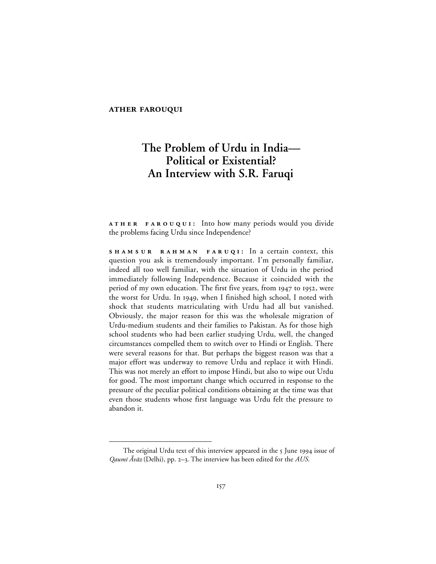#### **ATHER FAROUQUI**

 $\overline{a}$ 

# **The Problem of Urdu in India— Political or Existential? An Interview with S.R. Faruqi**

**ATHER FAROUQUI:** Into how many periods would you divide the problems facing Urdu since Independence?

**SHAMSUR RAHMAN FARUQI:** In a certain context, this question you ask is tremendously important. I'm personally familiar, indeed all too well familiar, with the situation of Urdu in the period immediately following Independence. Because it coincided with the period of my own education. The first five years, from 1947 to 1952, were the worst for Urdu. In 1949, when I finished high school, I noted with shock that students matriculating with Urdu had all but vanished. Obviously, the major reason for this was the wholesale migration of Urdu-medium students and their families to Pakistan. As for those high school students who had been earlier studying Urdu, well, the changed circumstances compelled them to switch over to Hindi or English. There were several reasons for that. But perhaps the biggest reason was that a major effort was underway to remove Urdu and replace it with Hindi. This was not merely an effort to impose Hindi, but also to wipe out Urdu for good. The most important change which occurred in response to the pressure of the peculiar political conditions obtaining at the time was that even those students whose first language was Urdu felt the pressure to abandon it.

The original Urdu text of this interview appeared in the 5 June 1994 issue of Qaumī  $\bar{A}v\bar{a}z$  (Delhi), pp. 2–3. The interview has been edited for the *AUS*.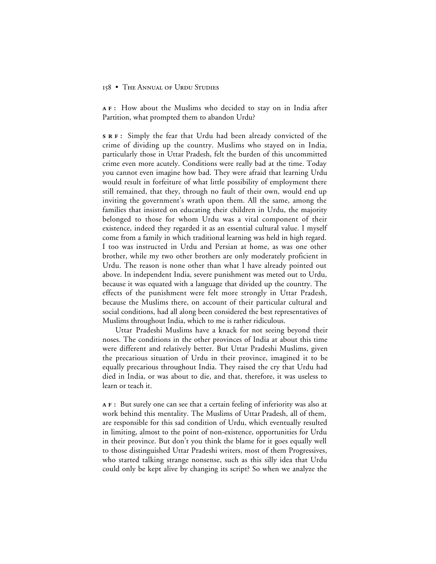**:** How about the Muslims who decided to stay on in India after Partition, what prompted them to abandon Urdu?

**:** Simply the fear that Urdu had been already convicted of the crime of dividing up the country. Muslims who stayed on in India, particularly those in Uttar Pradesh, felt the burden of this uncommitted crime even more acutely. Conditions were really bad at the time. Today you cannot even imagine how bad. They were afraid that learning Urdu would result in forfeiture of what little possibility of employment there still remained, that they, through no fault of their own, would end up inviting the government's wrath upon them. All the same, among the families that insisted on educating their children in Urdu, the majority belonged to those for whom Urdu was a vital component of their existence, indeed they regarded it as an essential cultural value. I myself come from a family in which traditional learning was held in high regard. I too was instructed in Urdu and Persian at home, as was one other brother, while my two other brothers are only moderately proficient in Urdu. The reason is none other than what I have already pointed out above. In independent India, severe punishment was meted out to Urdu, because it was equated with a language that divided up the country. The effects of the punishment were felt more strongly in Uttar Pradesh, because the Muslims there, on account of their particular cultural and social conditions, had all along been considered the best representatives of Muslims throughout India, which to me is rather ridiculous.

Uttar Pradeshi Muslims have a knack for not seeing beyond their noses. The conditions in the other provinces of India at about this time were different and relatively better. But Uttar Pradeshi Muslims, given the precarious situation of Urdu in their province, imagined it to be equally precarious throughout India. They raised the cry that Urdu had died in India, or was about to die, and that, therefore, it was useless to learn or teach it.

**:** But surely one can see that a certain feeling of inferiority was also at work behind this mentality. The Muslims of Uttar Pradesh, all of them, are responsible for this sad condition of Urdu, which eventually resulted in limiting, almost to the point of non-existence, opportunities for Urdu in their province. But don't you think the blame for it goes equally well to those distinguished Uttar Pradeshi writers, most of them Progressives, who started talking strange nonsense, such as this silly idea that Urdu could only be kept alive by changing its script? So when we analyze the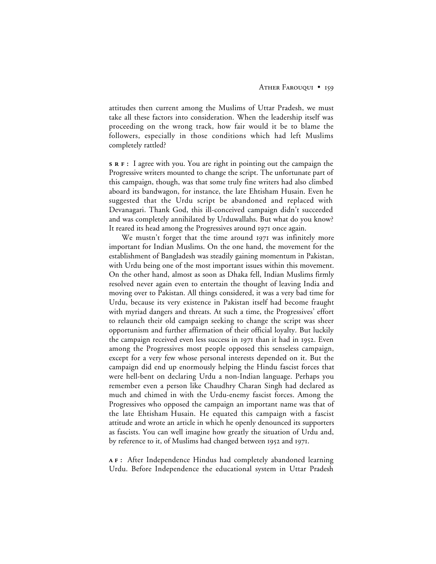attitudes then current among the Muslims of Uttar Pradesh, we must take all these factors into consideration. When the leadership itself was proceeding on the wrong track, how fair would it be to blame the followers, especially in those conditions which had left Muslims completely rattled?

**s R F** : I agree with you. You are right in pointing out the campaign the Progressive writers mounted to change the script. The unfortunate part of this campaign, though, was that some truly fine writers had also climbed aboard its bandwagon, for instance, the late Ehtisham Husain. Even he suggested that the Urdu script be abandoned and replaced with Devanagari. Thank God, this ill-conceived campaign didn't succeeded and was completely annihilated by Urduwallahs. But what do you know? It reared its head among the Progressives around 1971 once again.

We mustn't forget that the time around  $197I$  was infinitely more important for Indian Muslims. On the one hand, the movement for the establishment of Bangladesh was steadily gaining momentum in Pakistan, with Urdu being one of the most important issues within this movement. On the other hand, almost as soon as Dhaka fell, Indian Muslims firmly resolved never again even to entertain the thought of leaving India and moving over to Pakistan. All things considered, it was a very bad time for Urdu, because its very existence in Pakistan itself had become fraught with myriad dangers and threats. At such a time, the Progressives' effort to relaunch their old campaign seeking to change the script was sheer opportunism and further affirmation of their official loyalty. But luckily the campaign received even less success in  $1971$  than it had in  $1952$ . Even among the Progressives most people opposed this senseless campaign, except for a very few whose personal interests depended on it. But the campaign did end up enormously helping the Hindu fascist forces that were hell-bent on declaring Urdu a non-Indian language. Perhaps you remember even a person like Chaudhry Charan Singh had declared as much and chimed in with the Urdu-enemy fascist forces. Among the Progressives who opposed the campaign an important name was that of the late Ehtisham Husain. He equated this campaign with a fascist attitude and wrote an article in which he openly denounced its supporters as fascists. You can well imagine how greatly the situation of Urdu and, by reference to it, of Muslims had changed between 1952 and 1971.

**:** After Independence Hindus had completely abandoned learning Urdu. Before Independence the educational system in Uttar Pradesh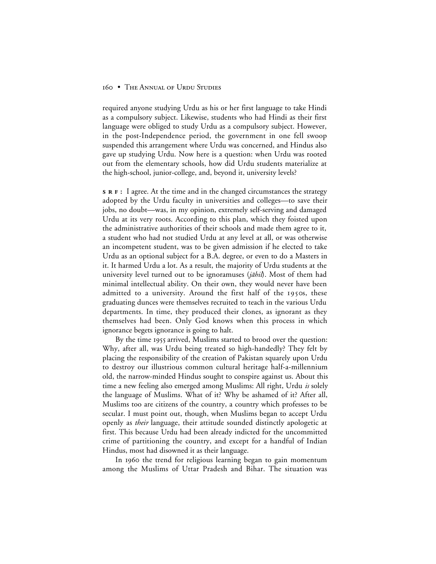required anyone studying Urdu as his or her first language to take Hindi as a compulsory subject. Likewise, students who had Hindi as their first language were obliged to study Urdu as a compulsory subject. However, in the post-Independence period, the government in one fell swoop suspended this arrangement where Urdu was concerned, and Hindus also gave up studying Urdu. Now here is a question: when Urdu was rooted out from the elementary schools, how did Urdu students materialize at the high-school, junior-college, and, beyond it, university levels?

**s R F** : I agree. At the time and in the changed circumstances the strategy adopted by the Urdu faculty in universities and colleges—to save their jobs, no doubt—was, in my opinion, extremely self-serving and damaged Urdu at its very roots. According to this plan, which they foisted upon the administrative authorities of their schools and made them agree to it, a student who had not studied Urdu at any level at all, or was otherwise an incompetent student, was to be given admission if he elected to take Urdu as an optional subject for a B.A. degree, or even to do a Masters in it. It harmed Urdu a lot. As a result, the majority of Urdu students at the university level turned out to be ignoramuses (*jāhil*). Most of them had minimal intellectual ability. On their own, they would never have been admitted to a university. Around the first half of the 1950s, these graduating dunces were themselves recruited to teach in the various Urdu departments. In time, they produced their clones, as ignorant as they themselves had been. Only God knows when this process in which ignorance begets ignorance is going to halt.

By the time 1955 arrived, Muslims started to brood over the question: Why, after all, was Urdu being treated so high-handedly? They felt by placing the responsibility of the creation of Pakistan squarely upon Urdu to destroy our illustrious common cultural heritage half-a-millennium old, the narrow-minded Hindus sought to conspire against us. About this time a new feeling also emerged among Muslims: All right, Urdu *is* solely the language of Muslims. What of it? Why be ashamed of it? After all, Muslims too are citizens of the country, a country which professes to be secular. I must point out, though, when Muslims began to accept Urdu openly as *their* language, their attitude sounded distinctly apologetic at first. This because Urdu had been already indicted for the uncommitted crime of partitioning the country, and except for a handful of Indian Hindus, most had disowned it as their language.

In 1960 the trend for religious learning began to gain momentum among the Muslims of Uttar Pradesh and Bihar. The situation was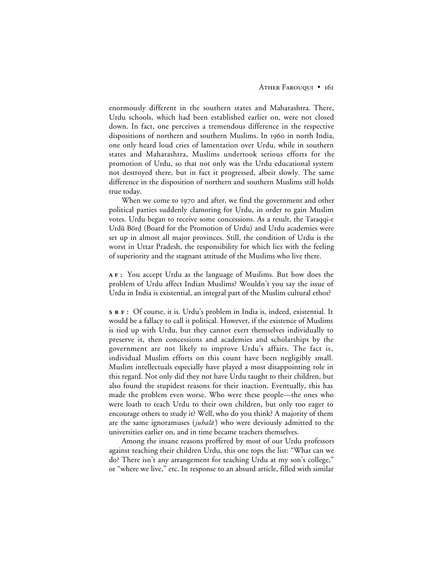enormously different in the southern states and Maharashtra. There, Urdu schools, which had been established earlier on, were not closed down. In fact, one perceives a tremendous difference in the respective dispositions of northern and southern Muslims. In 1960 in north India, one only heard loud cries of lamentation over Urdu, while in southern states and Maharashtra, Muslims undertook serious efforts for the promotion of Urdu, so that not only was the Urdu educational system not destroyed there, but in fact it progressed, albeit slowly. The same difference in the disposition of northern and southern Muslims still holds true today.

When we come to 1970 and after, we find the government and other political parties suddenly clamoring for Urdu, in order to gain Muslim votes. Urdu began to receive some concessions. As a result, the Taraqqi-e Urdū Bōrḍ (Board for the Promotion of Urdu) and Urdu academies were set up in almost all major provinces. Still, the condition of Urdu is the worst in Uttar Pradesh, the responsibility for which lies with the feeling of superiority and the stagnant attitude of the Muslims who live there.

**:** You accept Urdu as the language of Muslims. But how does the problem of Urdu affect Indian Muslims? Wouldn't you say the issue of Urdu in India is existential, an integral part of the Muslim cultural ethos?

**:** Of course, it is. Urdu's problem in India is, indeed, existential. It would be a fallacy to call it political. However, if the existence of Muslims is tied up with Urdu, but they cannot exert themselves individually to preserve it, then concessions and academies and scholarships by the government are not likely to improve Urdu's affairs. The fact is, individual Muslim efforts on this count have been negligibly small. Muslim intellectuals especially have played a most disappointing role in this regard. Not only did they not have Urdu taught to their children, but also found the stupidest reasons for their inaction. Eventually, this has made the problem even worse. Who were these people—the ones who were loath to teach Urdu to their own children, but only too eager to encourage others to study it? Well, who do you think? A majority of them are the same ignoramuses (*juhalā*) who were deviously admitted to the universities earlier on, and in time became teachers themselves.

Among the insane reasons proffered by most of our Urdu professors against teaching their children Urdu, this one tops the list: "What can we do? There isn't any arrangement for teaching Urdu at my son's college," or "where we live," etc. In response to an absurd article, filled with similar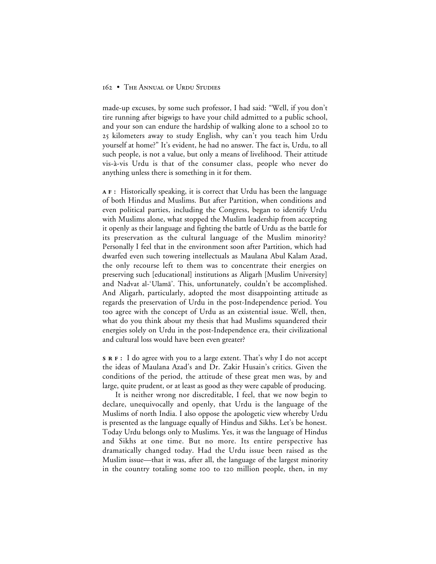made-up excuses, by some such professor, I had said: "Well, if you don't tire running after bigwigs to have your child admitted to a public school, and your son can endure the hardship of walking alone to a school 20 to 25 kilometers away to study English, why can't you teach him Urdu yourself at home?" It's evident, he had no answer. The fact is, Urdu, to all such people, is not a value, but only a means of livelihood. Their attitude vis-à-vis Urdu is that of the consumer class, people who never do anything unless there is something in it for them.

**:** Historically speaking, it is correct that Urdu has been the language of both Hindus and Muslims. But after Partition, when conditions and even political parties, including the Congress, began to identify Urdu with Muslims alone, what stopped the Muslim leadership from accepting it openly as their language and fighting the battle of Urdu as the battle for its preservation as the cultural language of the Muslim minority? Personally I feel that in the environment soon after Partition, which had dwarfed even such towering intellectuals as Maulana Abul Kalam Azad, the only recourse left to them was to concentrate their energies on preserving such [educational] institutions as Aligarh [Muslim University] and Nadvat al-'Ulamā'. This, unfortunately, couldn't be accomplished. And Aligarh, particularly, adopted the most disappointing attitude as regards the preservation of Urdu in the post-Independence period. You too agree with the concept of Urdu as an existential issue. Well, then, what do you think about my thesis that had Muslims squandered their energies solely on Urdu in the post-Independence era, their civilizational and cultural loss would have been even greater?

**:** I do agree with you to a large extent. That's why I do not accept the ideas of Maulana Azad's and Dr. Zakir Husain's critics. Given the conditions of the period, the attitude of these great men was, by and large, quite prudent, or at least as good as they were capable of producing.

It is neither wrong nor discreditable, I feel, that we now begin to declare, unequivocally and openly, that Urdu is the language of the Muslims of north India. I also oppose the apologetic view whereby Urdu is presented as the language equally of Hindus and Sikhs. Let's be honest. Today Urdu belongs only to Muslims. Yes, it was the language of Hindus and Sikhs at one time. But no more. Its entire perspective has dramatically changed today. Had the Urdu issue been raised as the Muslim issue—that it was, after all, the language of the largest minority in the country totaling some 100 to 120 million people, then, in my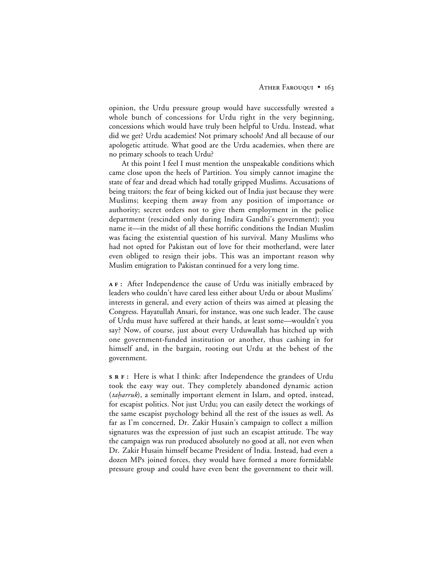opinion, the Urdu pressure group would have successfully wrested a whole bunch of concessions for Urdu right in the very beginning, concessions which would have truly been helpful to Urdu. Instead, what did we get? Urdu academies! Not primary schools! And all because of our apologetic attitude. What good are the Urdu academies, when there are no primary schools to teach Urdu?

At this point I feel I must mention the unspeakable conditions which came close upon the heels of Partition. You simply cannot imagine the state of fear and dread which had totally gripped Muslims. Accusations of being traitors; the fear of being kicked out of India just because they were Muslims; keeping them away from any position of importance or authority; secret orders not to give them employment in the police department (rescinded only during Indira Gandhi's government); you name it—in the midst of all these horrific conditions the Indian Muslim was facing the existential question of his survival. Many Muslims who had not opted for Pakistan out of love for their motherland, were later even obliged to resign their jobs. This was an important reason why Muslim emigration to Pakistan continued for a very long time.

**:** After Independence the cause of Urdu was initially embraced by leaders who couldn't have cared less either about Urdu or about Muslims' interests in general, and every action of theirs was aimed at pleasing the Congress. Hayatullah Ansari, for instance, was one such leader. The cause of Urdu must have suffered at their hands, at least some—wouldn't you say? Now, of course, just about every Urduwallah has hitched up with one government-funded institution or another, thus cashing in for himself and, in the bargain, rooting out Urdu at the behest of the government.

**s R F**: Here is what I think: after Independence the grandees of Urdu took the easy way out. They completely abandoned dynamic action (taharruk), a seminally important element in Islam, and opted, instead, for escapist politics. Not just Urdu; you can easily detect the workings of the same escapist psychology behind all the rest of the issues as well. As far as I'm concerned, Dr. Zakir Husain's campaign to collect a million signatures was the expression of just such an escapist attitude. The way the campaign was run produced absolutely no good at all, not even when Dr. Zakir Husain himself became President of India. Instead, had even a dozen MPs joined forces, they would have formed a more formidable pressure group and could have even bent the government to their will.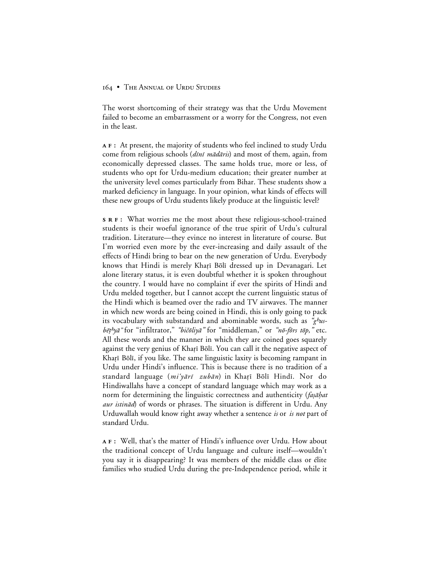The worst shortcoming of their strategy was that the Urdu Movement failed to become an embarrassment or a worry for the Congress, not even in the least.

**:** At present, the majority of students who feel inclined to study Urdu come from religious schools (dini mādāris) and most of them, again, from economically depressed classes. The same holds true, more or less, of students who opt for Urdu-medium education; their greater number at the university level comes particularly from Bihar. These students show a marked deficiency in language. In your opinion, what kinds of effects will these new groups of Urdu students likely produce at the linguistic level?

**:** What worries me the most about these religious-school-trained students is their woeful ignorance of the true spirit of Urdu's cultural tradition. Literature—they evince no interest in literature of course. But I'm worried even more by the ever-increasing and daily assault of the effects of Hindi bring to bear on the new generation of Urdu. Everybody knows that Hindi is merely Kharī Bōlī dressed up in Devanagari. Let alone literary status, it is even doubtful whether it is spoken throughout the country. I would have no complaint if ever the spirits of Hindi and Urdu melded together, but I cannot accept the current linguistic status of the Hindi which is beamed over the radio and TV airwaves. The manner in which new words are being coined in Hindi, this is only going to pack its vocabulary with substandard and abominable words, such as "ghusb®ª^y≥" for "infiltrator," *"*bi±åliy≥*"* for "middleman," or *"*nå-fårs tåp*,"* etc. All these words and the manner in which they are coined goes squarely against the very genius of Kharī Bōlī. You can call it the negative aspect of Kharī Bōlī, if you like. The same linguistic laxity is becoming rampant in Urdu under Hindi's influence. This is because there is no tradition of a standard language (mi'yārī zubān) in Kharī Bōlī Hindī. Nor do Hindiwallahs have a concept of standard language which may work as a norm for determining the linguistic correctness and authenticity (fașāhat aur istinād) of words or phrases. The situation is different in Urdu. Any Urduwallah would know right away whether a sentence *is* or *is not* part of standard Urdu.

**:** Well, that's the matter of Hindi's influence over Urdu. How about the traditional concept of Urdu language and culture itself—wouldn't you say it is disappearing? It was members of the middle class or élite families who studied Urdu during the pre-Independence period, while it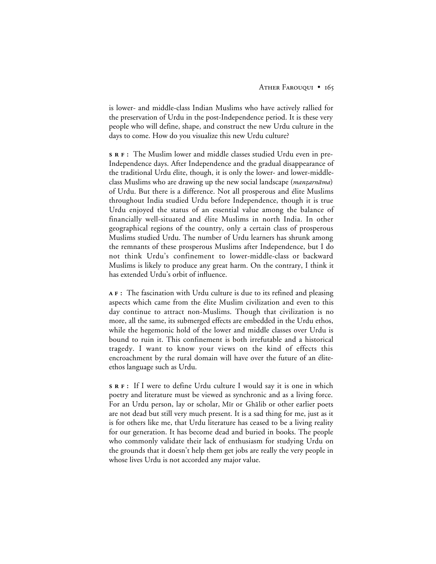is lower- and middle-class Indian Muslims who have actively rallied for the preservation of Urdu in the post-Independence period. It is these very people who will define, shape, and construct the new Urdu culture in the days to come. How do you visualize this new Urdu culture?

**:** The Muslim lower and middle classes studied Urdu even in pre-Independence days. After Independence and the gradual disappearance of the traditional Urdu élite, though, it is only the lower- and lower-middleclass Muslims who are drawing up the new social landscape (*manzarnāma*) of Urdu. But there is a difference. Not all prosperous and élite Muslims throughout India studied Urdu before Independence, though it is true Urdu enjoyed the status of an essential value among the balance of financially well-situated and élite Muslims in north India. In other geographical regions of the country, only a certain class of prosperous Muslims studied Urdu. The number of Urdu learners has shrunk among the remnants of these prosperous Muslims after Independence, but I do not think Urdu's confinement to lower-middle-class or backward Muslims is likely to produce any great harm. On the contrary, I think it has extended Urdu's orbit of influence.

**:** The fascination with Urdu culture is due to its refined and pleasing aspects which came from the élite Muslim civilization and even to this day continue to attract non-Muslims. Though that civilization is no more, all the same, its submerged effects are embedded in the Urdu ethos, while the hegemonic hold of the lower and middle classes over Urdu is bound to ruin it. This confinement is both irrefutable and a historical tragedy. I want to know your views on the kind of effects this encroachment by the rural domain will have over the future of an éliteethos language such as Urdu.

**:** If I were to define Urdu culture I would say it is one in which poetry and literature must be viewed as synchronic and as a living force. For an Urdu person, lay or scholar, Mir or Ghalib or other earlier poets are not dead but still very much present. It is a sad thing for me, just as it is for others like me, that Urdu literature has ceased to be a living reality for our generation. It has become dead and buried in books. The people who commonly validate their lack of enthusiasm for studying Urdu on the grounds that it doesn't help them get jobs are really the very people in whose lives Urdu is not accorded any major value.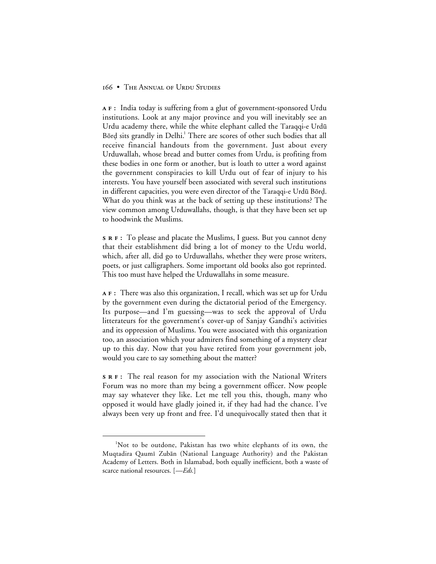**:** India today is suffering from a glut of government-sponsored Urdu institutions. Look at any major province and you will inevitably see an Urdu academy there, while the white elephant called the Taraqqi-e Urdū Börd sits grandly in Delhi.<sup>1</sup> There are scores of other such bodies that all receive financial handouts from the government. Just about every Urduwallah, whose bread and butter comes from Urdu, is profiting from these bodies in one form or another, but is loath to utter a word against the government conspiracies to kill Urdu out of fear of injury to his interests. You have yourself been associated with several such institutions in different capacities, you were even director of the Taraqqi-e Urdū Bōrd. What do you think was at the back of setting up these institutions? The view common among Urduwallahs, though, is that they have been set up to hoodwink the Muslims.

**:** To please and placate the Muslims, I guess. But you cannot deny that their establishment did bring a lot of money to the Urdu world, which, after all, did go to Urduwallahs, whether they were prose writers, poets, or just calligraphers. Some important old books also got reprinted. This too must have helped the Urduwallahs in some measure.

**:** There was also this organization, I recall, which was set up for Urdu by the government even during the dictatorial period of the Emergency. Its purpose—and I'm guessing—was to seek the approval of Urdu litterateurs for the government's cover-up of Sanjay Gandhi's activities and its oppression of Muslims. You were associated with this organization too, an association which your admirers find something of a mystery clear up to this day. Now that you have retired from your government job, would you care to say something about the matter?

**:** The real reason for my association with the National Writers Forum was no more than my being a government officer. Now people may say whatever they like. Let me tell you this, though, many who opposed it would have gladly joined it, if they had had the chance. I've always been very up front and free. I'd unequivocally stated then that it

 <sup>1</sup> <sup>1</sup>Not to be outdone, Pakistan has two white elephants of its own, the Muqtadira Qaumī Zubān (National Language Authority) and the Pakistan Academy of Letters. Both in Islamabad, both equally inefficient, both a waste of scarce national resources. [*—Eds.*]